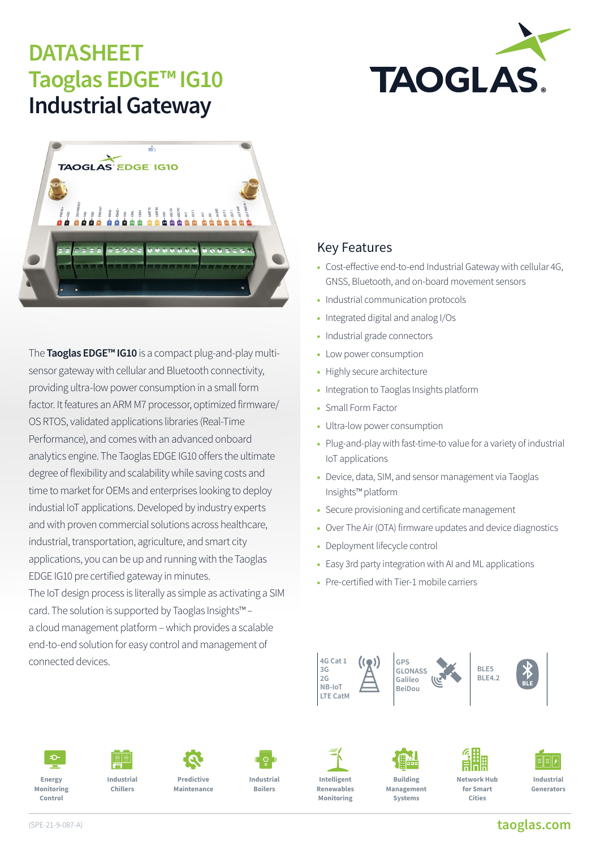## **DATASHEET Taoglas EDGE™ IG10 Industrial Gateway**





The **Taoglas EDGE™ IG10** is a compact plug-and-play multisensor gateway with cellular and Bluetooth connectivity, providing ultra-low power consumption in a small form factor. It features an ARM M7 processor, optimized firmware/ OS RTOS, validated applications libraries (Real-Time Performance), and comes with an advanced onboard analytics engine. The Taoglas EDGE IG10 offers the ultimate degree of flexibility and scalability while saving costs and time to market for OEMs and enterprises looking to deploy industial IoT applications. Developed by industry experts and with proven commercial solutions across healthcare, industrial, transportation, agriculture, and smart city applications, you can be up and running with the Taoglas EDGE IG10 pre certified gateway in minutes.

The IoT design process is literally as simple as activating a SIM card. The solution is supported by Taoglas Insights™ – a cloud management platform – which provides a scalable end-to-end solution for easy control and management of connected devices.

### Key Features

- Cost-effective end-to-end Industrial Gateway with cellular 4G, GNSS, Bluetooth, and on-board movement sensors
- Industrial communication protocols
- Integrated digital and analog I/Os
- Industrial grade connectors
- Low power consumption
- Highly secure architecture
- Integration to Taoglas Insights platform
- Small Form Factor
- Ultra-low power consumption
- Plug-and-play with fast-time-to value for a variety of industrial IoT applications
- Device, data, SIM, and sensor management via Taoglas Insights™ platform
- Secure provisioning and certificate management
- Over The Air (OTA) firmware updates and device diagnostics
- Deployment lifecycle control
- Easy 3rd party integration with AI and ML applications
- Pre-certified with Tier-1 mobile carriers







**Industrial Chillers**



**Industrial Boilers**



**Intelligent Renewables Monitoring**



**Network Hub for Smart** 

**Cities**



**Generators**

**[taoglas.com](https://www.taoglas.com)**